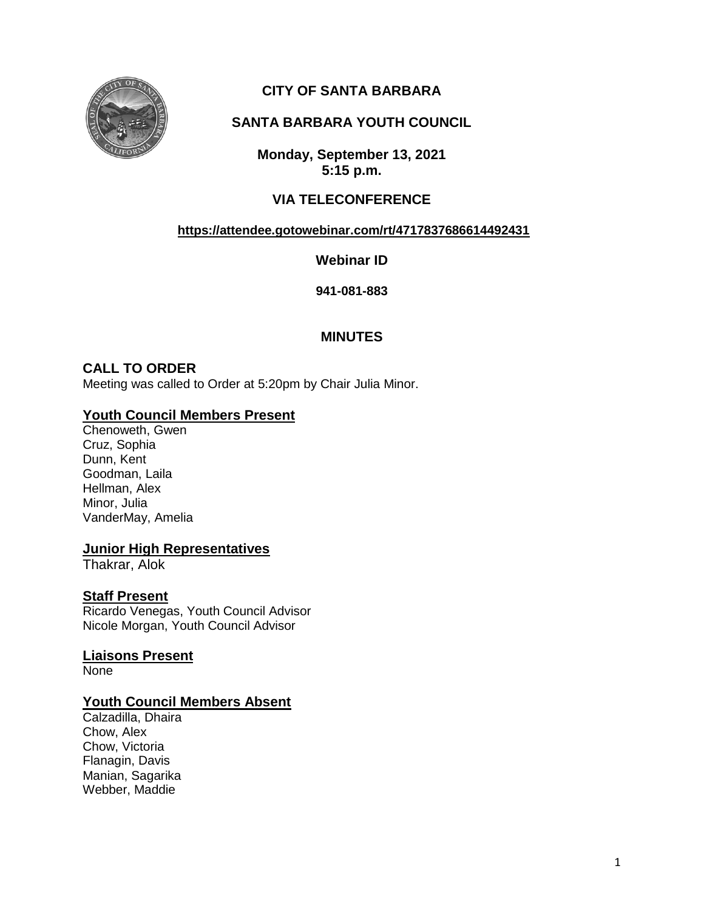

# **CITY OF SANTA BARBARA**

## **SANTA BARBARA YOUTH COUNCIL**

**Monday, September 13, 2021 5:15 p.m.**

### **VIA TELECONFERENCE**

#### **<https://attendee.gotowebinar.com/rt/4717837686614492431>**

**Webinar ID**

**941-081-883**

### **MINUTES**

#### **CALL TO ORDER**

Meeting was called to Order at 5:20pm by Chair Julia Minor.

### **Youth Council Members Present**

Chenoweth, Gwen Cruz, Sophia Dunn, Kent Goodman, Laila Hellman, Alex Minor, Julia VanderMay, Amelia

#### **Junior High Representatives**

Thakrar, Alok

#### **Staff Present**

Ricardo Venegas, Youth Council Advisor Nicole Morgan, Youth Council Advisor

#### **Liaisons Present**

**None** 

### **Youth Council Members Absent**

Calzadilla, Dhaira Chow, Alex Chow, Victoria Flanagin, Davis Manian, Sagarika Webber, Maddie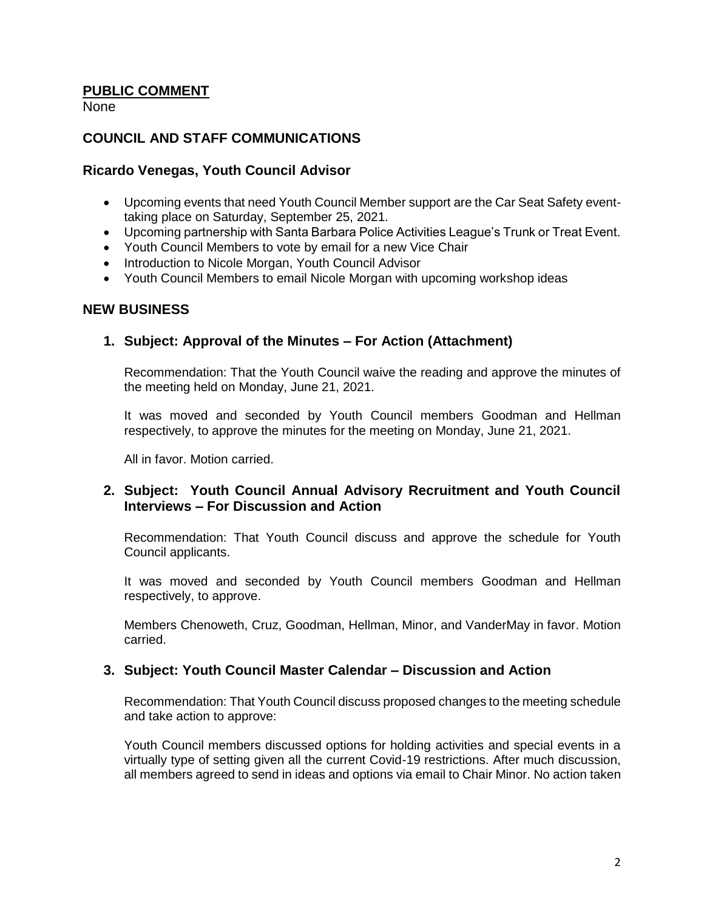### **PUBLIC COMMENT**

None

#### **COUNCIL AND STAFF COMMUNICATIONS**

#### **Ricardo Venegas, Youth Council Advisor**

- Upcoming events that need Youth Council Member support are the Car Seat Safety eventtaking place on Saturday, September 25, 2021.
- Upcoming partnership with Santa Barbara Police Activities League's Trunk or Treat Event.
- Youth Council Members to vote by email for a new Vice Chair
- Introduction to Nicole Morgan, Youth Council Advisor
- Youth Council Members to email Nicole Morgan with upcoming workshop ideas

#### **NEW BUSINESS**

#### **1. Subject: Approval of the Minutes – For Action (Attachment)**

Recommendation: That the Youth Council waive the reading and approve the minutes of the meeting held on Monday, June 21, 2021.

It was moved and seconded by Youth Council members Goodman and Hellman respectively, to approve the minutes for the meeting on Monday, June 21, 2021.

All in favor. Motion carried.

### **2. Subject: Youth Council Annual Advisory Recruitment and Youth Council Interviews – For Discussion and Action**

Recommendation: That Youth Council discuss and approve the schedule for Youth Council applicants.

It was moved and seconded by Youth Council members Goodman and Hellman respectively, to approve.

Members Chenoweth, Cruz, Goodman, Hellman, Minor, and VanderMay in favor. Motion carried.

### **3. Subject: Youth Council Master Calendar – Discussion and Action**

Recommendation: That Youth Council discuss proposed changes to the meeting schedule and take action to approve:

Youth Council members discussed options for holding activities and special events in a virtually type of setting given all the current Covid-19 restrictions. After much discussion, all members agreed to send in ideas and options via email to Chair Minor. No action taken